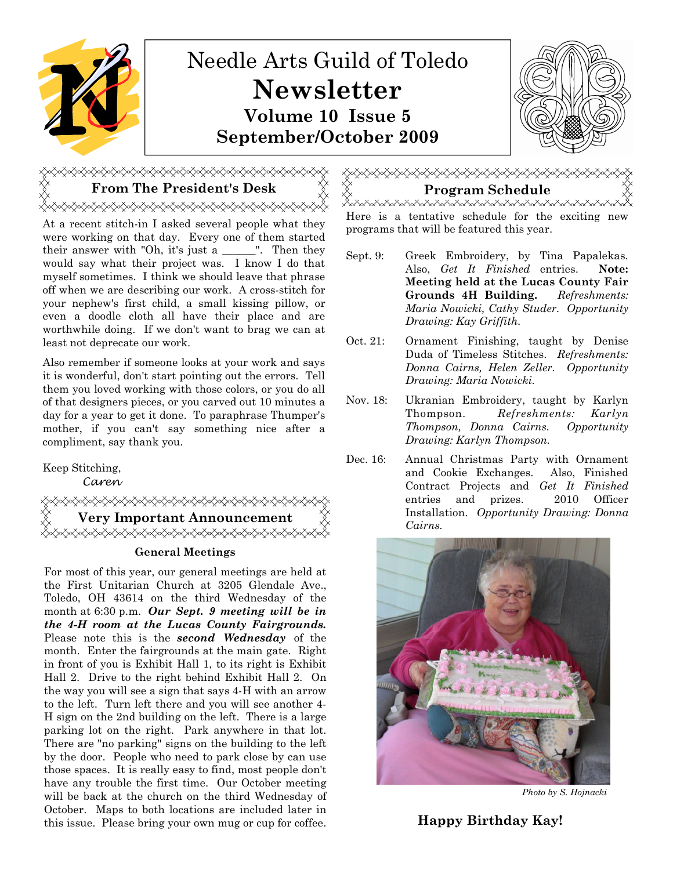

## From The President's Desk  $\mathbb{X} \times \mathbb{X}$  Program Schedule **⋌⋌⋌⋌⋌⋌⋌⋌⋌⋌⋌⋌⋌⋌⋌⋌⋌⋌⋌⋌⋌⋌⋌⋌⋌⋌⋌⋌⋌**

At a recent stitch-in I asked several people what they were working on that day. Every one of them started their answer with "Oh, it's just a \_\_\_\_\_\_". Then they would say what their project was. I know I do that myself sometimes. I think we should leave that phrase off when we are describing our work. A cross-stitch for your nephew's first child, a small kissing pillow, or even a doodle cloth all have their place and are worthwhile doing. If we don't want to brag we can at least not deprecate our work.

Also remember if someone looks at your work and says it is wonderful, don't start pointing out the errors. Tell them you loved working with those colors, or you do all of that designers pieces, or you carved out 10 minutes a day for a year to get it done. To paraphrase Thumper's mother, if you can't say something nice after a compliment, say thank you.

Keep Stitching,

Caren

≫™™™™™™™™™™ Cairns. Very Important Announcement

#### General Meetings

For most of this year, our general meetings are held at the First Unitarian Church at 3205 Glendale Ave., Toledo, OH 43614 on the third Wednesday of the month at 6:30 p.m. Our Sept. 9 meeting will be in the 4-H room at the Lucas County Fairgrounds. Please note this is the **second** Wednesday of the month. Enter the fairgrounds at the main gate. Right in front of you is Exhibit Hall 1, to its right is Exhibit Hall 2. Drive to the right behind Exhibit Hall 2. On the way you will see a sign that says 4-H with an arrow to the left. Turn left there and you will see another 4- H sign on the 2nd building on the left. There is a large parking lot on the right. Park anywhere in that lot. There are "no parking" signs on the building to the left by the door. People who need to park close by can use those spaces. It is really easy to find, most people don't have any trouble the first time. Our October meeting will be back at the church on the third Wednesday of October. Maps to both locations are included later in this issue. Please bring your own mug or cup for coffee.

# «XXXXXXXXXXXXXXX

yxxxxxxxxxxxxxxxxxxxxxxxxxxxxxxx Here is a tentative schedule for the exciting new programs that will be featured this year.

- Sept. 9: Greek Embroidery, by Tina Papalekas. Also, Get It Finished entries. Note: Meeting held at the Lucas County Fair Grounds 4H Building. Refreshments: Maria Nowicki, Cathy Studer. Opportunity Drawing: Kay Griffith.
- Oct. 21: Ornament Finishing, taught by Denise Duda of Timeless Stitches. Refreshments: Donna Cairns, Helen Zeller. Opportunity Drawing: Maria Nowicki.
- Nov. 18: Ukranian Embroidery, taught by Karlyn Thompson. Refreshments: Karlyn Thompson, Donna Cairns. Opportunity Drawing: Karlyn Thompson.
- Dec. 16: Annual Christmas Party with Ornament and Cookie Exchanges. Also, Finished Contract Projects and Get It Finished entries and prizes. 2010 Officer Installation. Opportunity Drawing: Donna



Photo by S. Hojnacki

Happy Birthday Kay!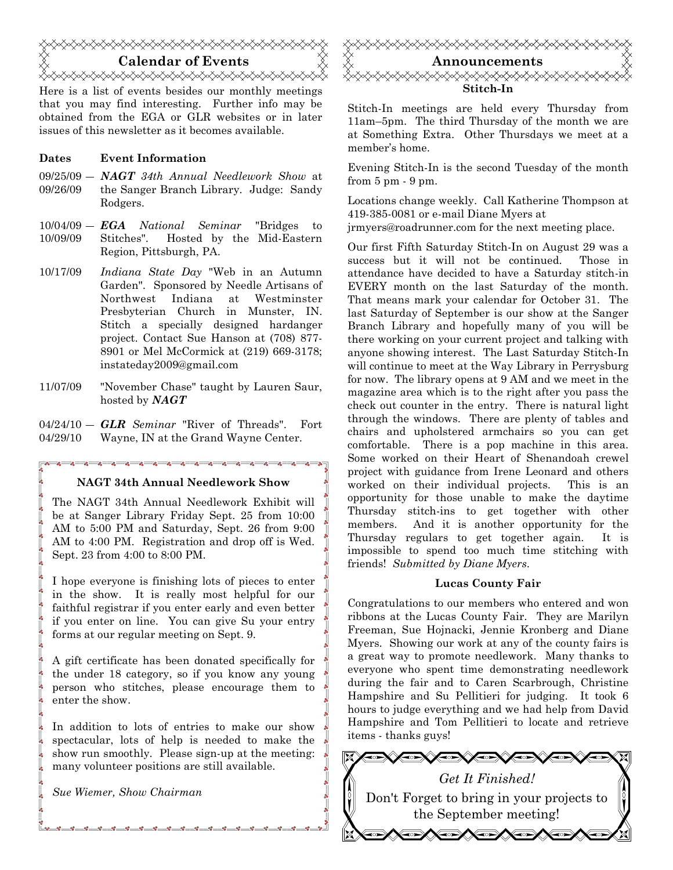

Here is a list of events besides our monthly meetings that you may find interesting. Further info may be obtained from the EGA or GLR websites or in later issues of this newsletter as it becomes available.

#### Dates Event Information

- $09/25/09 NAGT$  34th Annual Needlework Show at 09/26/09 the Sanger Branch Library. Judge: Sandy Rodgers.
- $10/04/09 \textit{EGA}$  National Seminar "Bridges to 10/09/09 Stitches". Hosted by the Mid-Eastern Region, Pittsburgh, PA.
- 10/17/09 Indiana State Day "Web in an Autumn Garden". Sponsored by Needle Artisans of Northwest Indiana at Westminster Presbyterian Church in Munster, IN. Stitch a specially designed hardanger project. Contact Sue Hanson at (708) 877- 8901 or Mel McCormick at (219) 669-3178; instateday2009@gmail.com
- 11/07/09 "November Chase" taught by Lauren Saur, hosted by NAGT
- $04/24/10 GLR$  Seminar "River of Threads". Fort 04/29/10 Wayne, IN at the Grand Wayne Center.

#### NAGT 34th Annual Needlework Show

The NAGT 34th Annual Needlework Exhibit will be at Sanger Library Friday Sept. 25 from 10:00 AM to 5:00 PM and Saturday, Sept. 26 from 9:00 AM to 4:00 PM. Registration and drop off is Wed. Sept. 23 from 4:00 to 8:00 PM.

I hope everyone is finishing lots of pieces to enter in the show. It is really most helpful for our faithful registrar if you enter early and even better if you enter on line. You can give Su your entry forms at our regular meeting on Sept. 9.

A gift certificate has been donated specifically for the under 18 category, so if you know any young person who stitches, please encourage them to enter the show.

In addition to lots of entries to make our show spectacular, lots of help is needed to make the show run smoothly. Please sign-up at the meeting: many volunteer positions are still available.

Sue Wiemer, Show Chairman



Stitch-In meetings are held every Thursday from 11am–5pm. The third Thursday of the month we are at Something Extra. Other Thursdays we meet at a member's home.

Evening Stitch-In is the second Tuesday of the month from 5 pm - 9 pm.

Locations change weekly. Call Katherine Thompson at 419-385-0081 or e-mail Diane Myers at jrmyers@roadrunner.com for the next meeting place.

Our first Fifth Saturday Stitch-In on August 29 was a success but it will not be continued. Those in attendance have decided to have a Saturday stitch-in EVERY month on the last Saturday of the month. That means mark your calendar for October 31. The last Saturday of September is our show at the Sanger Branch Library and hopefully many of you will be there working on your current project and talking with anyone showing interest. The Last Saturday Stitch-In will continue to meet at the Way Library in Perrysburg for now. The library opens at 9 AM and we meet in the magazine area which is to the right after you pass the check out counter in the entry. There is natural light through the windows. There are plenty of tables and chairs and upholstered armchairs so you can get comfortable. There is a pop machine in this area. Some worked on their Heart of Shenandoah crewel project with guidance from Irene Leonard and others worked on their individual projects. This is an opportunity for those unable to make the daytime Thursday stitch-ins to get together with other members. And it is another opportunity for the Thursday regulars to get together again. It is impossible to spend too much time stitching with friends! Submitted by Diane Myers.

#### Lucas County Fair

Congratulations to our members who entered and won ribbons at the Lucas County Fair. They are Marilyn Freeman, Sue Hojnacki, Jennie Kronberg and Diane Myers. Showing our work at any of the county fairs is a great way to promote needlework. Many thanks to everyone who spent time demonstrating needlework during the fair and to Caren Scarbrough, Christine Hampshire and Su Pellitieri for judging. It took 6 hours to judge everything and we had help from David Hampshire and Tom Pellitieri to locate and retrieve items - thanks guys!

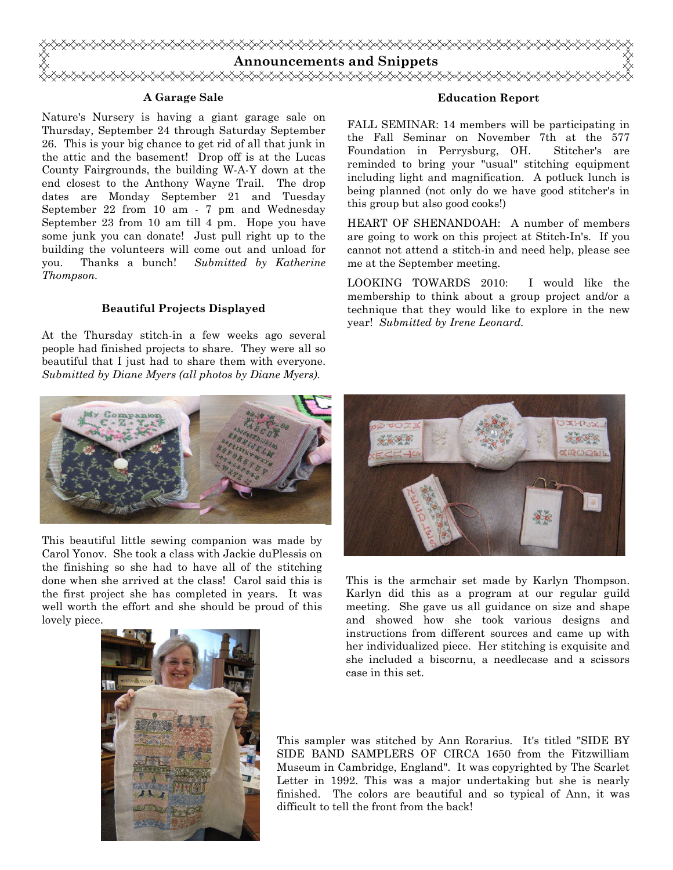

#### A Garage Sale

Nature's Nursery is having a giant garage sale on Thursday, September 24 through Saturday September 26. This is your big chance to get rid of all that junk in the attic and the basement! Drop off is at the Lucas County Fairgrounds, the building W-A-Y down at the end closest to the Anthony Wayne Trail. The drop dates are Monday September 21 and Tuesday September 22 from 10 am - 7 pm and Wednesday September 23 from 10 am till 4 pm. Hope you have some junk you can donate! Just pull right up to the building the volunteers will come out and unload for you. Thanks a bunch! Submitted by Katherine Thompson.

#### Beautiful Projects Displayed

At the Thursday stitch-in a few weeks ago several people had finished projects to share. They were all so beautiful that I just had to share them with everyone. Submitted by Diane Myers (all photos by Diane Myers).



This beautiful little sewing companion was made by Carol Yonov. She took a class with Jackie duPlessis on the finishing so she had to have all of the stitching done when she arrived at the class! Carol said this is the first project she has completed in years. It was well worth the effort and she should be proud of this lovely piece.



#### Education Report

FALL SEMINAR: 14 members will be participating in the Fall Seminar on November 7th at the 577 Foundation in Perrysburg, OH. Stitcher's are reminded to bring your "usual" stitching equipment including light and magnification. A potluck lunch is being planned (not only do we have good stitcher's in this group but also good cooks!)

HEART OF SHENANDOAH: A number of members are going to work on this project at Stitch-In's. If you cannot not attend a stitch-in and need help, please see me at the September meeting.

LOOKING TOWARDS 2010: I would like the membership to think about a group project and/or a technique that they would like to explore in the new year! Submitted by Irene Leonard.



This is the armchair set made by Karlyn Thompson. Karlyn did this as a program at our regular guild meeting. She gave us all guidance on size and shape and showed how she took various designs and instructions from different sources and came up with her individualized piece. Her stitching is exquisite and she included a biscornu, a needlecase and a scissors case in this set.

This sampler was stitched by Ann Rorarius. It's titled "SIDE BY SIDE BAND SAMPLERS OF CIRCA 1650 from the Fitzwilliam Museum in Cambridge, England". It was copyrighted by The Scarlet Letter in 1992. This was a major undertaking but she is nearly finished. The colors are beautiful and so typical of Ann, it was difficult to tell the front from the back!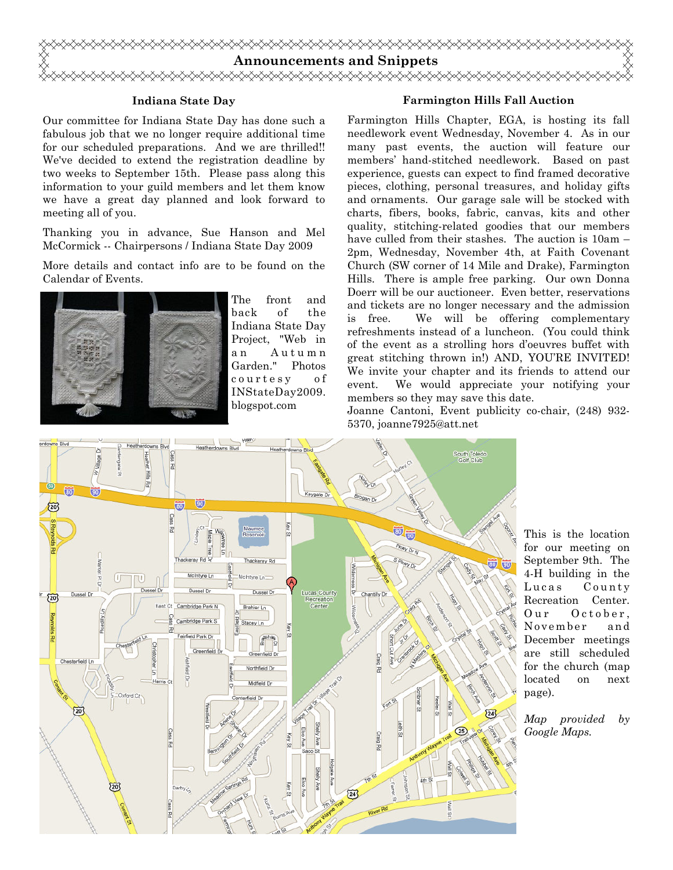

#### Indiana State Day

Our committee for Indiana State Day has done such a fabulous job that we no longer require additional time for our scheduled preparations. And we are thrilled!! We've decided to extend the registration deadline by two weeks to September 15th. Please pass along this information to your guild members and let them know we have a great day planned and look forward to meeting all of you.

Thanking you in advance, Sue Hanson and Mel McCormick -- Chairpersons / Indiana State Day 2009

More details and contact info are to be found on the Calendar of Events.



The front and back of the Indiana State Day Project, "Web in a n A u t u m n Garden." Photos c o u r t e s y o f INStateDay2009. blogspot.com

#### Farmington Hills Fall Auction

Farmington Hills Chapter, EGA, is hosting its fall needlework event Wednesday, November 4. As in our many past events, the auction will feature our members' hand-stitched needlework. Based on past experience, guests can expect to find framed decorative pieces, clothing, personal treasures, and holiday gifts and ornaments. Our garage sale will be stocked with charts, fibers, books, fabric, canvas, kits and other quality, stitching-related goodies that our members have culled from their stashes. The auction is 10am – 2pm, Wednesday, November 4th, at Faith Covenant Church (SW corner of 14 Mile and Drake), Farmington Hills. There is ample free parking. Our own Donna Doerr will be our auctioneer. Even better, reservations and tickets are no longer necessary and the admission is free. We will be offering complementary refreshments instead of a luncheon. (You could think of the event as a strolling hors d'oeuvres buffet with great stitching thrown in!) AND, YOU'RE INVITED! We invite your chapter and its friends to attend our event. We would appreciate your notifying your members so they may save this date.

Joanne Cantoni, Event publicity co-chair, (248) 932- 5370, joanne7925@att.net



This is the location for our meeting on September 9th. The 4-H building in the Lucas County Recreation Center. Our October, November and December meetings are still scheduled for the church (map located on next page).

Map provided by Google Maps.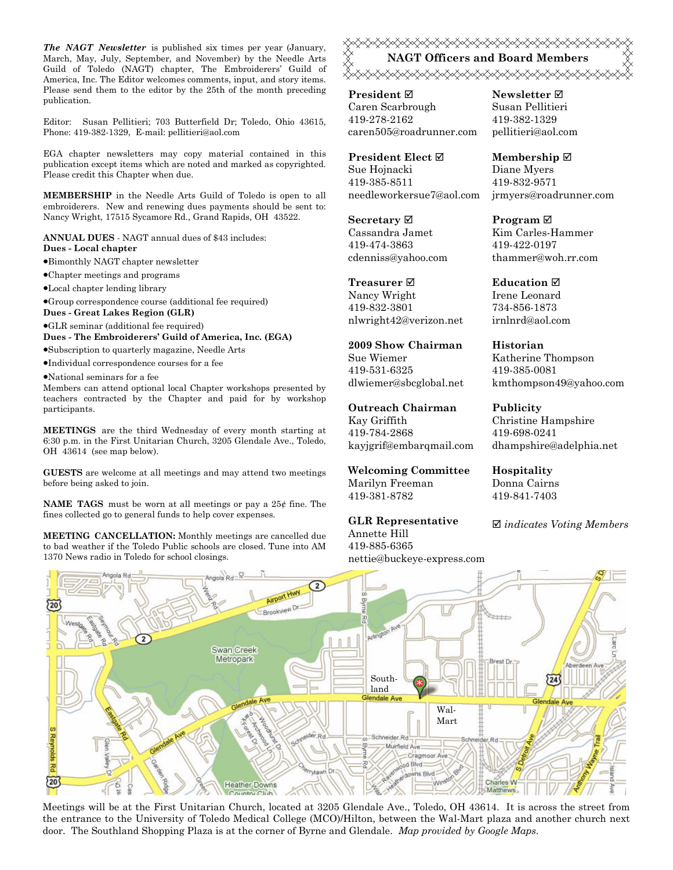The NAGT Newsletter is published six times per year (January, March, May, July, September, and November) by the Needle Arts Guild of Toledo (NAGT) chapter, The Embroiderers' Guild of America, Inc. The Editor welcomes comments, input, and story items. Please send them to the editor by the 25th of the month preceding publication.

Editor: Susan Pellitieri; 703 Butterfield Dr; Toledo, Ohio 43615, Phone: 419-382-1329, E-mail: pellitieri@aol.com

EGA chapter newsletters may copy material contained in this publication except items which are noted and marked as copyrighted. Please credit this Chapter when due.

MEMBERSHIP in the Needle Arts Guild of Toledo is open to all embroiderers. New and renewing dues payments should be sent to: Nancy Wright, 17515 Sycamore Rd., Grand Rapids, OH 43522.

ANNUAL DUES - NAGT annual dues of \$43 includes: Dues - Local chapter

•Bimonthly NAGT chapter newsletter

•Chapter meetings and programs

•Local chapter lending library

•Group correspondence course (additional fee required)

Dues - Great Lakes Region (GLR)

•GLR seminar (additional fee required)

Dues - The Embroiderers' Guild of America, Inc. (EGA) •Subscription to quarterly magazine, Needle Arts

•Individual correspondence courses for a fee

•National seminars for a fee

Members can attend optional local Chapter workshops presented by teachers contracted by the Chapter and paid for by workshop participants.

MEETINGS are the third Wednesday of every month starting at 6:30 p.m. in the First Unitarian Church, 3205 Glendale Ave., Toledo, OH 43614 (see map below).

GUESTS are welcome at all meetings and may attend two meetings before being asked to join.

**NAME TAGS** must be worn at all meetings or pay a  $25¢$  fine. The fines collected go to general funds to help cover expenses.

MEETING CANCELLATION: Monthly meetings are cancelled due to bad weather if the Toledo Public schools are closed. Tune into AM 1370 News radio in Toledo for school closings.

**۞۞۞۞۞۞۞۞۞۞۞۞۞۞۞۞۞۞۞۞۞۞** NAGT Officers and Board Members <del></del>

President ⊠ Caren Scarbrough 419-278-2162 caren505@roadrunner.com

President Elect Sue Hojnacki 419-385-8511 needleworkersue7@aol.com

Secretary  $\boxtimes$ Cassandra Jamet 419-474-3863 cdenniss@yahoo.com

Treasurer **⊠** Nancy Wright 419-832-3801 nlwright42@verizon.net

2009 Show Chairman Sue Wiemer 419-531-6325 dlwiemer@sbcglobal.net

Outreach Chairman Kay Griffith 419-784-2868 kayjgrif@embarqmail.com

Welcoming Committee Marilyn Freeman 419-381-8782

GLR Representative Annette Hill

419-885-6365 nettie@buckeye-express.com

Newsletter  $\boxtimes$ Susan Pellitieri 419-382-1329 pellitieri@aol.com

Membership ⊠ Diane Myers 419-832-9571 jrmyers@roadrunner.com

Program **⊠** Kim Carles-Hammer 419-422-0197 thammer@woh.rr.com

**Education ⊠** Irene Leonard 734-856-1873 irnlnrd@aol.com

Historian Katherine Thompson 419-385-0081 kmthompson49@yahoo.com

Publicity Christine Hampshire 419-698-0241 dhampshire@adelphia.net

Hospitality Donna Cairns 419-841-7403

 $\boxtimes$  indicates Voting Members



Meetings will be at the First Unitarian Church, located at 3205 Glendale Ave., Toledo, OH 43614. It is across the street from the entrance to the University of Toledo Medical College (MCO)/Hilton, between the Wal-Mart plaza and another church next door. The Southland Shopping Plaza is at the corner of Byrne and Glendale. Map provided by Google Maps.